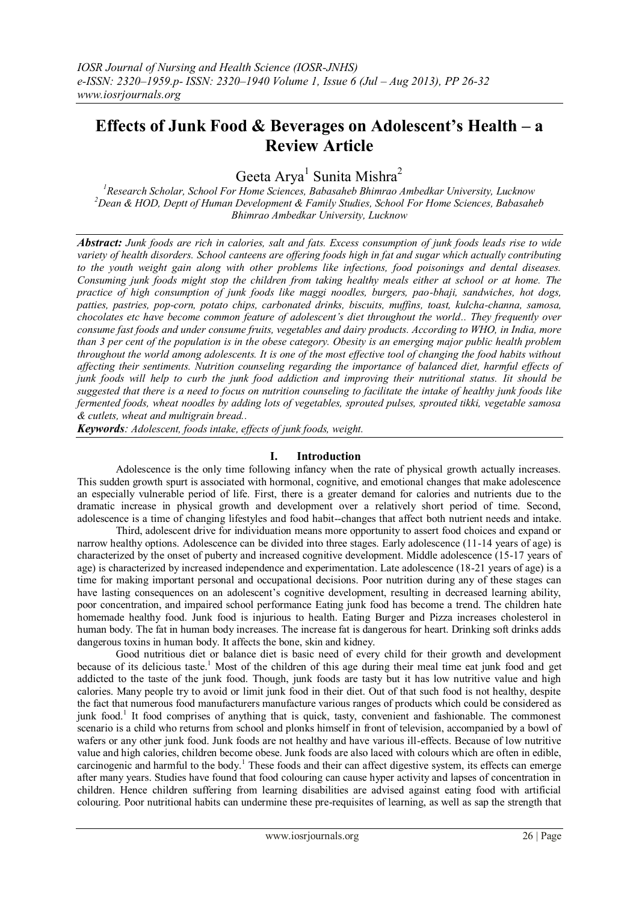# **Effects of Junk Food & Beverages on Adolescent's Health – a Review Article**

Geeta Arya<sup>1</sup> Sunita Mishra<sup>2</sup>

*<sup>1</sup>Research Scholar, School For Home Sciences, Babasaheb Bhimrao Ambedkar University, Lucknow <sup>2</sup>Dean & HOD, Deptt of Human Development & Family Studies, School For Home Sciences, Babasaheb Bhimrao Ambedkar University, Lucknow*

*Abstract: Junk foods are rich in calories, salt and fats. Excess consumption of junk foods leads rise to wide variety of health disorders. School canteens are offering foods high in fat and sugar which actually contributing to the youth weight gain along with other problems like infections, food poisonings and dental diseases. Consuming junk foods might stop the children from taking healthy meals either at school or at home. The practice of high consumption of junk foods like maggi noodles, burgers, pao-bhaji, sandwiches, hot dogs, patties, pastries, pop-corn, potato chips, carbonated drinks, biscuits, muffins, toast, kulcha-channa, samosa, chocolates etc have become common feature of adolescent's diet throughout the world.. They frequently over consume fast foods and under consume fruits, vegetables and dairy products. According to WHO, in India, more than 3 per cent of the population is in the obese category. Obesity is an emerging major public health problem throughout the world among adolescents. It is one of the most effective tool of changing the food habits without affecting their sentiments. Nutrition counseling regarding the importance of balanced diet, harmful effects of junk foods will help to curb the junk food addiction and improving their nutritional status. Iit should be suggested that there is a need to focus on nutrition counseling to facilitate the intake of healthy junk foods like fermented foods, wheat noodles by adding lots of vegetables, sprouted pulses, sprouted tikki, vegetable samosa & cutlets, wheat and multigrain bread..*

*Keywords: Adolescent, foods intake, effects of junk foods, weight.*

### **I. Introduction**

Adolescence is the only time following infancy when the rate of physical growth actually increases. This sudden growth spurt is associated with hormonal, cognitive, and emotional changes that make adolescence an especially vulnerable period of life. First, there is a greater demand for calories and nutrients due to the dramatic increase in physical growth and development over a relatively short period of time. Second, adolescence is a time of changing lifestyles and food habit--changes that affect both nutrient needs and intake.

Third, adolescent drive for individuation means more opportunity to assert food choices and expand or narrow healthy options. Adolescence can be divided into three stages. Early adolescence (11-14 years of age) is characterized by the onset of puberty and increased cognitive development. Middle adolescence (15-17 years of age) is characterized by increased independence and experimentation. Late adolescence (18-21 years of age) is a time for making important personal and occupational decisions. Poor nutrition during any of these stages can have lasting consequences on an adolescent's cognitive development, resulting in decreased learning ability, poor concentration, and impaired school performance Eating junk food has become a trend. The children hate homemade healthy food. Junk food is injurious to health. Eating Burger and Pizza increases cholesterol in human body. The fat in human body increases. The increase fat is dangerous for heart. Drinking soft drinks adds dangerous toxins in human body. It affects the bone, skin and kidney.

Good nutritious diet or balance diet is basic need of every child for their growth and development because of its delicious taste.<sup>1</sup> Most of the children of this age during their meal time eat junk food and get addicted to the taste of the junk food. Though, junk foods are tasty but it has low nutritive value and high calories. Many people try to avoid or limit junk food in their diet. Out of that such food is not healthy, despite the fact that numerous food manufacturers manufacture various ranges of products which could be considered as junk food.<sup>1</sup> It food comprises of anything that is quick, tasty, convenient and fashionable. The commonest scenario is a child who returns from school and plonks himself in front of television, accompanied by a bowl of wafers or any other junk food. Junk foods are not healthy and have various ill-effects. Because of low nutritive value and high calories, children become obese. Junk foods are also laced with colours which are often in edible, carcinogenic and harmful to the body.<sup>1</sup> These foods and their can affect digestive system, its effects can emerge after many years. Studies have found that food colouring can cause hyper activity and lapses of concentration in children. Hence children suffering from learning disabilities are advised against eating food with artificial colouring. Poor nutritional habits can undermine these pre-requisites of learning, as well as sap the strength that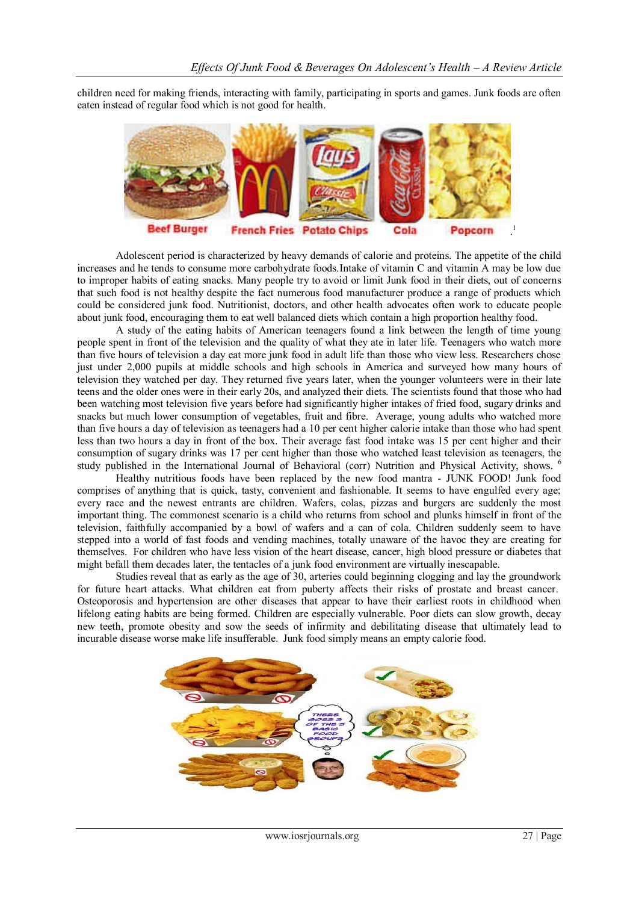children need for making friends, interacting with family, participating in sports and games. Junk foods are often eaten instead of regular food which is not good for health.



Adolescent period is characterized by heavy demands of calorie and proteins. The appetite of the child increases and he tends to consume more carbohydrate foods.Intake of vitamin C and vitamin A may be low due to improper habits of eating snacks*.* Many people try to avoid or limit Junk food in their diets, out of concerns that such food is not healthy despite the fact numerous food manufacturer produce a range of products which could be considered junk food. Nutritionist, doctors, and other health advocates often work to educate people about junk food, encouraging them to eat well balanced diets which contain a high proportion healthy food.

A study of the eating habits of American teenagers found a link between the length of time young people spent in front of the television and the quality of what they ate in later life. Teenagers who watch more than five hours of television a day eat more junk food in adult life than those who view less. Researchers chose just under 2,000 pupils at middle schools and high schools in America and surveyed how many hours of television they watched per day. They returned five years later, when the younger volunteers were in their late teens and the older ones were in their early 20s, and analyzed their diets. The scientists found that those who had been watching most television five years before had significantly higher intakes of fried food, sugary drinks and snacks but much lower consumption of vegetables, fruit and fibre. Average, young adults who watched more than five hours a day of television as teenagers had a 10 per cent higher calorie intake than those who had spent less than two hours a day in front of the box. Their average fast food intake was 15 per cent higher and their consumption of sugary drinks was 17 per cent higher than those who watched least television as teenagers, the study published in the International Journal of Behavioral (corr) Nutrition and Physical Activity, shows. <sup>6</sup>

Healthy nutritious foods have been replaced by the new food mantra - JUNK FOOD! Junk food comprises of anything that is quick, tasty, convenient and fashionable. It seems to have engulfed every age; every race and the newest entrants are children. Wafers, colas, pizzas and burgers are suddenly the most important thing. The commonest scenario is a child who returns from school and plunks himself in front of the television, faithfully accompanied by a bowl of wafers and a can of cola. Children suddenly seem to have stepped into a world of fast foods and vending machines, totally unaware of the havoc they are creating for themselves. For children who have less vision of the heart disease, cancer, high blood pressure or diabetes that might befall them decades later, the tentacles of a junk food environment are virtually inescapable.

Studies reveal that as early as the age of 30, arteries could beginning clogging and lay the groundwork for future heart attacks. What children eat from puberty affects their risks of prostate and breast cancer. Osteoporosis and hypertension are other diseases that appear to have their earliest roots in childhood when lifelong eating habits are being formed. Children are especially vulnerable. Poor diets can slow growth, decay new teeth, promote obesity and sow the seeds of infirmity and debilitating disease that ultimately lead to incurable disease worse make life insufferable. Junk food simply means an empty calorie food.

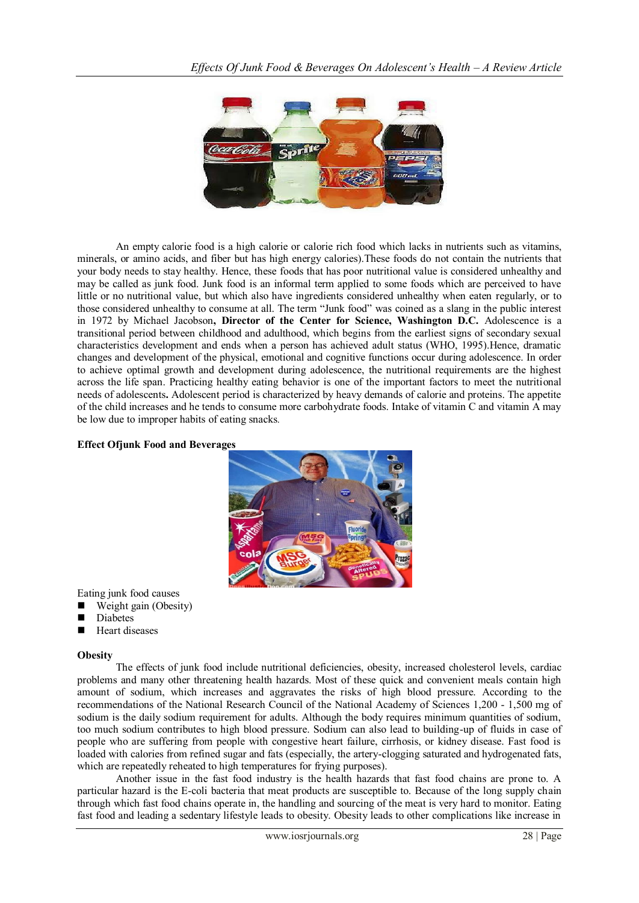

An empty calorie food is a high calorie or calorie rich food which lacks in nutrients such as vitamins, minerals, or amino acids, and fiber but has high energy calories).These foods do not contain the nutrients that your body needs to stay healthy. Hence, these foods that has poor nutritional value is considered unhealthy and may be called as junk food. Junk food is an informal term applied to some foods which are perceived to have little or no nutritional value, but which also have ingredients considered unhealthy when eaten regularly, or to those considered unhealthy to consume at all. The term "Junk food" was coined as a slang in the public interest in 1972 by Michael Jacobson**, Director of the Center for Science, Washington D.C.** Adolescence is a transitional period between childhood and adulthood, which begins from the earliest signs of secondary sexual characteristics development and ends when a person has achieved adult status (WHO, 1995).Hence, dramatic changes and development of the physical, emotional and cognitive functions occur during adolescence. In order to achieve optimal growth and development during adolescence, the nutritional requirements are the highest across the life span. Practicing healthy eating behavior is one of the important factors to meet the nutritional needs of adolescents**.** Adolescent period is characterized by heavy demands of calorie and proteins. The appetite of the child increases and he tends to consume more carbohydrate foods. Intake of vitamin C and vitamin A may be low due to improper habits of eating snacks*.*

### **Effect Ofjunk Food and Beverages**



Eating junk food causes

- Weight gain (Obesity)
- Diabetes
- **Heart diseases**

### **Obesity**

The effects of junk food include nutritional deficiencies, obesity, increased cholesterol levels, cardiac problems and many other threatening health hazards. Most of these quick and convenient meals contain high amount of sodium, which increases and aggravates the risks of high blood pressure. According to the recommendations of the National Research Council of the National Academy of Sciences 1,200 - 1,500 mg of sodium is the daily sodium requirement for adults. Although the body requires minimum quantities of sodium, too much sodium contributes to high blood pressure. Sodium can also lead to building-up of fluids in case of people who are suffering from people with congestive heart failure, cirrhosis, or kidney disease. Fast food is loaded with calories from refined sugar and fats (especially, the artery-clogging saturated and hydrogenated fats, which are repeatedly reheated to high temperatures for frying purposes).

Another issue in the fast food industry is the health hazards that fast food chains are prone to. A particular hazard is the E-coli bacteria that meat products are susceptible to. Because of the long supply chain through which fast food chains operate in, the handling and sourcing of the meat is very hard to monitor. Eating fast food and leading a sedentary lifestyle leads to obesity. Obesity leads to other complications like increase in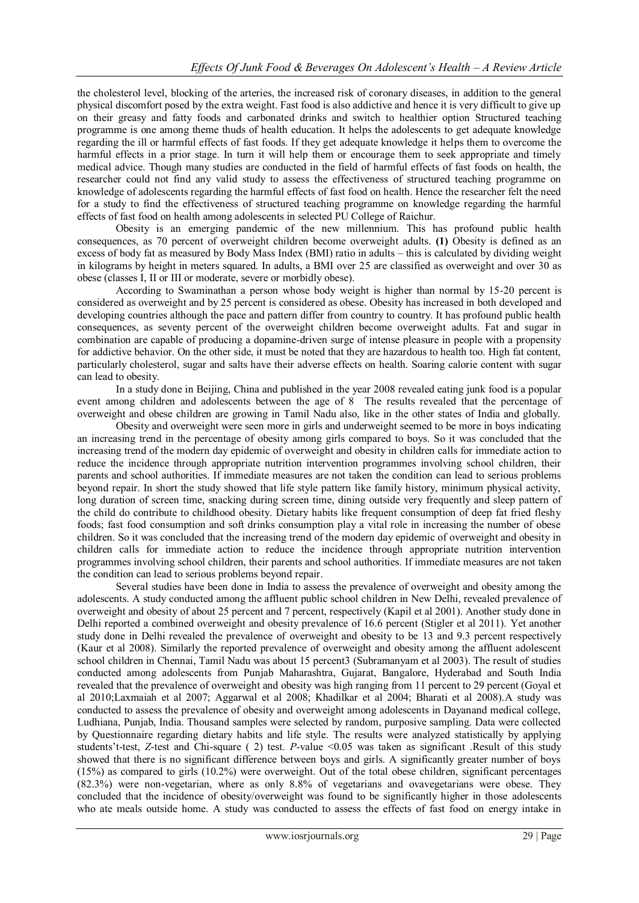the cholesterol level, blocking of the arteries, the increased risk of coronary diseases, in addition to the general physical discomfort posed by the extra weight. Fast food is also addictive and hence it is very difficult to give up on their greasy and fatty foods and carbonated drinks and switch to healthier option Structured teaching programme is one among theme thuds of health education. It helps the adolescents to get adequate knowledge regarding the ill or harmful effects of fast foods. If they get adequate knowledge it helps them to overcome the harmful effects in a prior stage. In turn it will help them or encourage them to seek appropriate and timely medical advice. Though many studies are conducted in the field of harmful effects of fast foods on health, the researcher could not find any valid study to assess the effectiveness of structured teaching programme on knowledge of adolescents regarding the harmful effects of fast food on health. Hence the researcher felt the need for a study to find the effectiveness of structured teaching programme on knowledge regarding the harmful effects of fast food on health among adolescents in selected PU College of Raichur.

Obesity is an emerging pandemic of the new millennium. This has profound public health consequences, as 70 percent of overweight children become overweight adults. **(1)** Obesity is defined as an excess of body fat as measured by Body Mass Index (BMI) ratio in adults – this is calculated by dividing weight in kilograms by height in meters squared. In adults, a BMI over 25 are classified as overweight and over 30 as obese (classes I, II or III or moderate, severe or morbidly obese).

According to Swaminathan a person whose body weight is higher than normal by 15-20 percent is considered as overweight and by 25 percent is considered as obese. Obesity has increased in both developed and developing countries although the pace and pattern differ from country to country. It has profound public health consequences, as seventy percent of the overweight children become overweight adults. Fat and sugar in combination are capable of producing a dopamine-driven surge of intense pleasure in people with a propensity for addictive behavior. On the other side, it must be noted that they are hazardous to health too. High fat content, particularly cholesterol, sugar and salts have their adverse effects on health. Soaring calorie content with sugar can lead to obesity.

In a study done in Beijing, China and published in the year 2008 revealed eating junk food is a popular event among children and adolescents between the age of 8 The results revealed that the percentage of overweight and obese children are growing in Tamil Nadu also, like in the other states of India and globally.

Obesity and overweight were seen more in girls and underweight seemed to be more in boys indicating an increasing trend in the percentage of obesity among girls compared to boys. So it was concluded that the increasing trend of the modern day epidemic of overweight and obesity in children calls for immediate action to reduce the incidence through appropriate nutrition intervention programmes involving school children, their parents and school authorities. If immediate measures are not taken the condition can lead to serious problems beyond repair. In short the study showed that life style pattern like family history, minimum physical activity, long duration of screen time, snacking during screen time, dining outside very frequently and sleep pattern of the child do contribute to childhood obesity. Dietary habits like frequent consumption of deep fat fried fleshy foods; fast food consumption and soft drinks consumption play a vital role in increasing the number of obese children. So it was concluded that the increasing trend of the modern day epidemic of overweight and obesity in children calls for immediate action to reduce the incidence through appropriate nutrition intervention programmes involving school children, their parents and school authorities. If immediate measures are not taken the condition can lead to serious problems beyond repair.

Several studies have been done in India to assess the prevalence of overweight and obesity among the adolescents. A study conducted among the affluent public school children in New Delhi, revealed prevalence of overweight and obesity of about 25 percent and 7 percent, respectively (Kapil et al 2001). Another study done in Delhi reported a combined overweight and obesity prevalence of 16.6 percent (Stigler et al 2011). Yet another study done in Delhi revealed the prevalence of overweight and obesity to be 13 and 9.3 percent respectively (Kaur et al 2008). Similarly the reported prevalence of overweight and obesity among the affluent adolescent school children in Chennai, Tamil Nadu was about 15 percent3 (Subramanyam et al 2003). The result of studies conducted among adolescents from Punjab Maharashtra, Gujarat, Bangalore, Hyderabad and South India revealed that the prevalence of overweight and obesity was high ranging from 11 percent to 29 percent (Goyal et al 2010;Laxmaiah et al 2007; Aggarwal et al 2008; Khadilkar et al 2004; Bharati et al 2008).A study was conducted to assess the prevalence of obesity and overweight among adolescents in Dayanand medical college, Ludhiana, Punjab, India. Thousand samples were selected by random, purposive sampling. Data were collected by Questionnaire regarding dietary habits and life style. The results were analyzed statistically by applying students't-test, *Z*-test and Chi-square (2) test. *P*-value <0.05 was taken as significant .Result of this study showed that there is no significant difference between boys and girls. A significantly greater number of boys (15%) as compared to girls (10.2%) were overweight. Out of the total obese children, significant percentages (82.3%) were non-vegetarian, where as only 8.8% of vegetarians and ovavegetarians were obese. They concluded that the incidence of obesity/overweight was found to be significantly higher in those adolescents who ate meals outside home. A study was conducted to assess the effects of fast food on energy intake in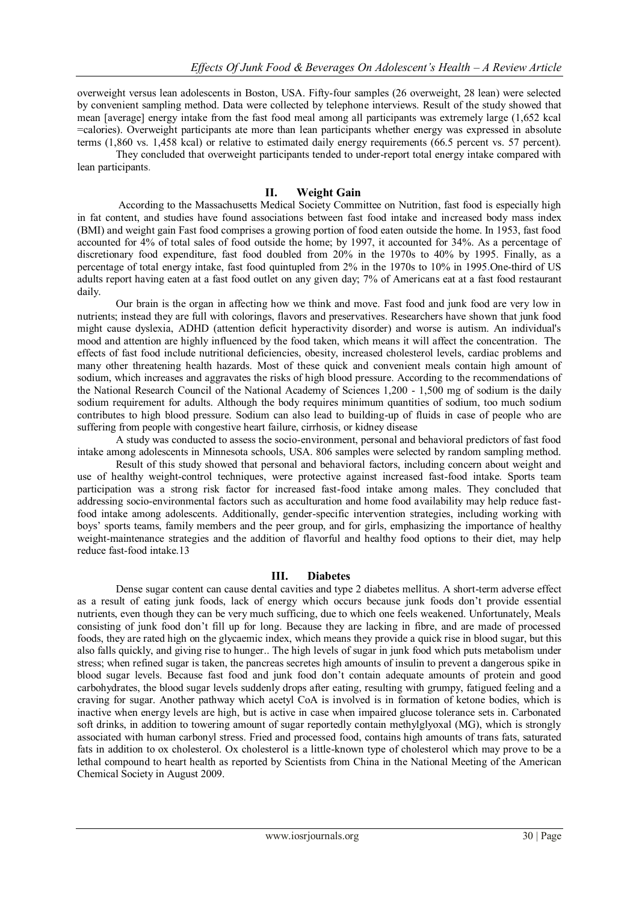overweight versus lean adolescents in Boston, USA. Fifty-four samples (26 overweight, 28 lean) were selected by convenient sampling method. Data were collected by telephone interviews. Result of the study showed that mean [average] energy intake from the fast food meal among all participants was extremely large (1,652 kcal =calories). Overweight participants ate more than lean participants whether energy was expressed in absolute terms (1,860 vs. 1,458 kcal) or relative to estimated daily energy requirements (66.5 percent vs. 57 percent).

They concluded that overweight participants tended to under-report total energy intake compared with lean participants.

# **II. Weight Gain**

According to the Massachusetts Medical Society Committee on Nutrition, fast food is especially high in fat content, and studies have found associations between fast food intake and increased body mass index (BMI) and weight gain Fast food comprises a growing portion of food eaten outside the home. In 1953, fast food accounted for 4% of total sales of food outside the home; by 1997, it accounted for 34%. As a percentage of discretionary food expenditure, fast food doubled from 20% in the 1970s to 40% by 1995. Finally, as a percentage of total energy intake, fast food quintupled from 2% in the 1970s to 10% in 1995.One-third of US adults report having eaten at a fast food outlet on any given day; 7% of Americans eat at a fast food restaurant daily.

Our brain is the organ in affecting how we think and move. Fast food and junk food are very low in nutrients; instead they are full with colorings, flavors and preservatives. Researchers have shown that junk food might cause dyslexia, ADHD (attention deficit hyperactivity disorder) and worse is autism. An individual's mood and attention are highly influenced by the food taken, which means it will affect the concentration. The effects of fast food include nutritional deficiencies, obesity, increased cholesterol levels, cardiac problems and many other threatening health hazards. Most of these quick and convenient meals contain high amount of sodium, which increases and aggravates the risks of high blood pressure. According to the recommendations of the National Research Council of the National Academy of Sciences 1,200 - 1,500 mg of sodium is the daily sodium requirement for adults. Although the body requires minimum quantities of sodium, too much sodium contributes to high blood pressure. Sodium can also lead to building-up of fluids in case of people who are suffering from people with congestive heart failure, cirrhosis, or kidney disease

A study was conducted to assess the socio-environment, personal and behavioral predictors of fast food intake among adolescents in Minnesota schools, USA. 806 samples were selected by random sampling method.

Result of this study showed that personal and behavioral factors, including concern about weight and use of healthy weight-control techniques, were protective against increased fast-food intake. Sports team participation was a strong risk factor for increased fast-food intake among males. They concluded that addressing socio-environmental factors such as acculturation and home food availability may help reduce fastfood intake among adolescents. Additionally, gender-specific intervention strategies, including working with boys' sports teams, family members and the peer group, and for girls, emphasizing the importance of healthy weight-maintenance strategies and the addition of flavorful and healthy food options to their diet, may help reduce fast-food intake.13

### **III. Diabetes**

Dense sugar content can cause dental cavities and type 2 diabetes mellitus. A short-term adverse effect as a result of eating junk foods, lack of energy which occurs because junk foods don't provide essential nutrients, even though they can be very much sufficing, due to which one feels weakened. Unfortunately, Meals consisting of junk food don't fill up for long. Because they are lacking in fibre, and are made of processed foods, they are rated high on the glycaemic index, which means they provide a quick rise in blood sugar, but this also falls quickly, and giving rise to hunger.. The high levels of sugar in junk food which puts metabolism under stress; when refined sugar is taken, the pancreas secretes high amounts of insulin to prevent a dangerous spike in blood sugar levels. Because fast food and junk food don't contain adequate amounts of protein and good carbohydrates, the blood sugar levels suddenly drops after eating, resulting with grumpy, fatigued feeling and a craving for sugar. Another pathway which acetyl CoA is involved is in formation of ketone bodies, which is inactive when energy levels are high, but is active in case when impaired glucose tolerance sets in. Carbonated soft drinks, in addition to towering amount of sugar reportedly contain methylglyoxal (MG), which is strongly associated with human carbonyl stress. Fried and processed food, contains high amounts of trans fats, saturated fats in addition to ox cholesterol. Ox cholesterol is a little-known type of cholesterol which may prove to be a lethal compound to heart health as reported by Scientists from China in the National Meeting of the American Chemical Society in August 2009.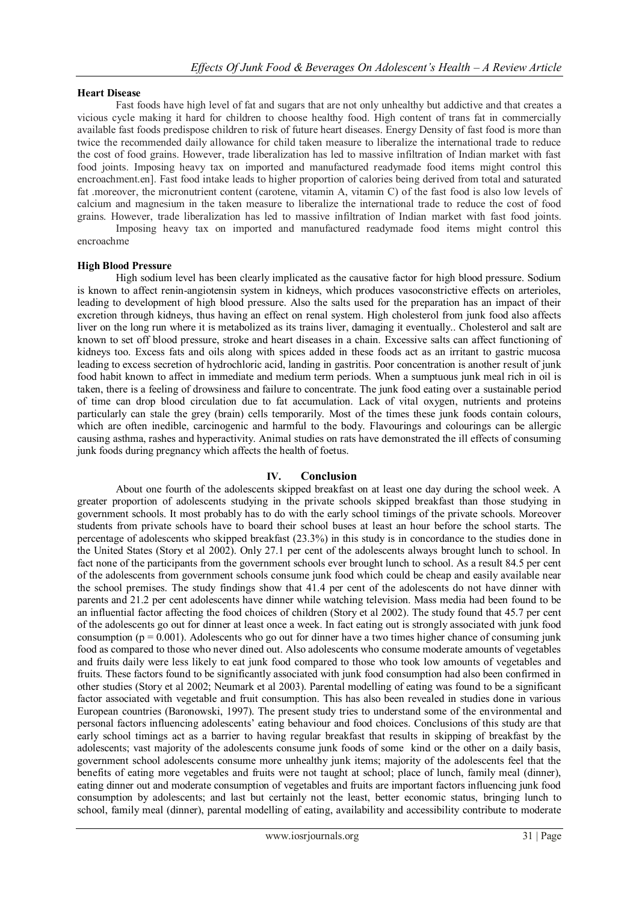# **Heart Disease**

Fast foods have high level of fat and sugars that are not only unhealthy but addictive and that creates a vicious cycle making it hard for children to choose healthy food. High content of trans fat in commercially available fast foods predispose children to risk of future heart diseases. Energy Density of fast food is more than twice the recommended daily allowance for child taken measure to liberalize the international trade to reduce the cost of food grains. However, trade liberalization has led to massive infiltration of Indian market with fast food joints. Imposing heavy tax on imported and manufactured readymade food items might control this encroachment.en]. Fast food intake leads to higher proportion of calories being derived from total and saturated fat .moreover, the micronutrient content (carotene, vitamin A, vitamin C) of the fast food is also low levels of calcium and magnesium in the taken measure to liberalize the international trade to reduce the cost of food grains. However, trade liberalization has led to massive infiltration of Indian market with fast food joints. Imposing heavy tax on imported and manufactured readymade food items might control this

encroachme

# **High Blood Pressure**

High sodium level has been clearly implicated as the causative factor for high blood pressure. Sodium is known to affect renin-angiotensin system in kidneys, which produces vasoconstrictive effects on arterioles, leading to development of high blood pressure. Also the salts used for the preparation has an impact of their excretion through kidneys, thus having an effect on renal system. High cholesterol from junk food also affects liver on the long run where it is metabolized as its trains liver, damaging it eventually.. Cholesterol and salt are known to set off blood pressure, stroke and heart diseases in a chain. Excessive salts can affect functioning of kidneys too. Excess fats and oils along with spices added in these foods act as an irritant to gastric mucosa leading to excess secretion of hydrochloric acid, landing in gastritis. Poor concentration is another result of junk food habit known to affect in immediate and medium term periods. When a sumptuous junk meal rich in oil is taken, there is a feeling of drowsiness and failure to concentrate. The junk food eating over a sustainable period of time can drop blood circulation due to fat accumulation. Lack of vital oxygen, nutrients and proteins particularly can stale the grey (brain) cells temporarily. Most of the times these junk foods contain colours, which are often inedible, carcinogenic and harmful to the body. Flavourings and colourings can be allergic causing asthma, rashes and hyperactivity. Animal studies on rats have demonstrated the ill effects of consuming junk foods during pregnancy which affects the health of foetus.

# **IV. Conclusion**

About one fourth of the adolescents skipped breakfast on at least one day during the school week. A greater proportion of adolescents studying in the private schools skipped breakfast than those studying in government schools. It most probably has to do with the early school timings of the private schools. Moreover students from private schools have to board their school buses at least an hour before the school starts. The percentage of adolescents who skipped breakfast (23.3%) in this study is in concordance to the studies done in the United States (Story et al 2002). Only 27.1 per cent of the adolescents always brought lunch to school. In fact none of the participants from the government schools ever brought lunch to school. As a result 84.5 per cent of the adolescents from government schools consume junk food which could be cheap and easily available near the school premises. The study findings show that 41.4 per cent of the adolescents do not have dinner with parents and 21.2 per cent adolescents have dinner while watching television. Mass media had been found to be an influential factor affecting the food choices of children (Story et al 2002). The study found that 45.7 per cent of the adolescents go out for dinner at least once a week. In fact eating out is strongly associated with junk food consumption ( $p = 0.001$ ). Adolescents who go out for dinner have a two times higher chance of consuming junk food as compared to those who never dined out. Also adolescents who consume moderate amounts of vegetables and fruits daily were less likely to eat junk food compared to those who took low amounts of vegetables and fruits. These factors found to be significantly associated with junk food consumption had also been confirmed in other studies (Story et al 2002; Neumark et al 2003). Parental modelling of eating was found to be a significant factor associated with vegetable and fruit consumption. This has also been revealed in studies done in various European countries (Baronowski, 1997). The present study tries to understand some of the environmental and personal factors influencing adolescents' eating behaviour and food choices. Conclusions of this study are that early school timings act as a barrier to having regular breakfast that results in skipping of breakfast by the adolescents; vast majority of the adolescents consume junk foods of some kind or the other on a daily basis, government school adolescents consume more unhealthy junk items; majority of the adolescents feel that the benefits of eating more vegetables and fruits were not taught at school; place of lunch, family meal (dinner), eating dinner out and moderate consumption of vegetables and fruits are important factors influencing junk food consumption by adolescents; and last but certainly not the least, better economic status, bringing lunch to school, family meal (dinner), parental modelling of eating, availability and accessibility contribute to moderate